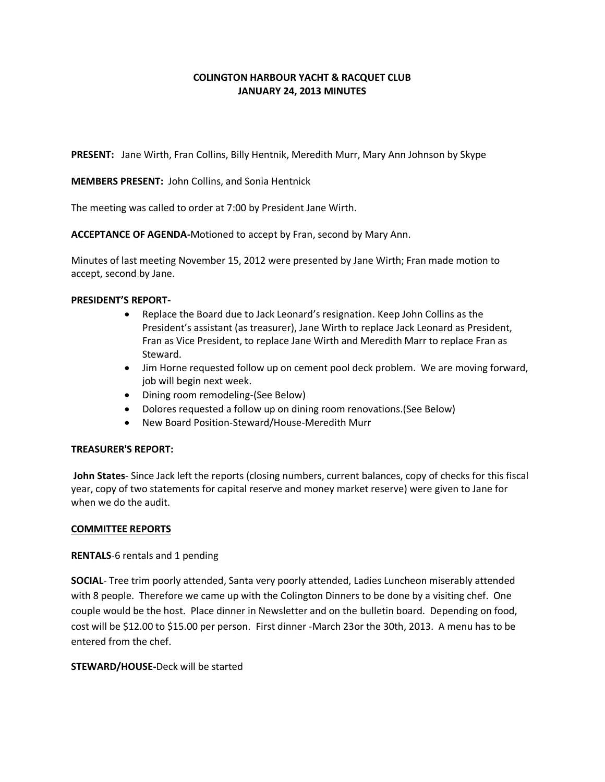# **COLINGTON HARBOUR YACHT & RACQUET CLUB JANUARY 24, 2013 MINUTES**

**PRESENT:** Jane Wirth, Fran Collins, Billy Hentnik, Meredith Murr, Mary Ann Johnson by Skype

**MEMBERS PRESENT:** John Collins, and Sonia Hentnick

The meeting was called to order at 7:00 by President Jane Wirth.

**ACCEPTANCE OF AGENDA-**Motioned to accept by Fran, second by Mary Ann.

Minutes of last meeting November 15, 2012 were presented by Jane Wirth; Fran made motion to accept, second by Jane.

### **PRESIDENT'S REPORT-**

- Replace the Board due to Jack Leonard's resignation. Keep John Collins as the President's assistant (as treasurer), Jane Wirth to replace Jack Leonard as President, Fran as Vice President, to replace Jane Wirth and Meredith Marr to replace Fran as Steward.
- Jim Horne requested follow up on cement pool deck problem. We are moving forward, job will begin next week.
- Dining room remodeling-(See Below)
- Dolores requested a follow up on dining room renovations.(See Below)
- New Board Position-Steward/House-Meredith Murr

# **TREASURER'S REPORT:**

**John States**- Since Jack left the reports (closing numbers, current balances, copy of checks for this fiscal year, copy of two statements for capital reserve and money market reserve) were given to Jane for when we do the audit.

# **COMMITTEE REPORTS**

#### **RENTALS**-6 rentals and 1 pending

**SOCIAL**- Tree trim poorly attended, Santa very poorly attended, Ladies Luncheon miserably attended with 8 people. Therefore we came up with the Colington Dinners to be done by a visiting chef. One couple would be the host. Place dinner in Newsletter and on the bulletin board. Depending on food, cost will be \$12.00 to \$15.00 per person. First dinner -March 23or the 30th, 2013. A menu has to be entered from the chef.

#### **STEWARD/HOUSE-**Deck will be started